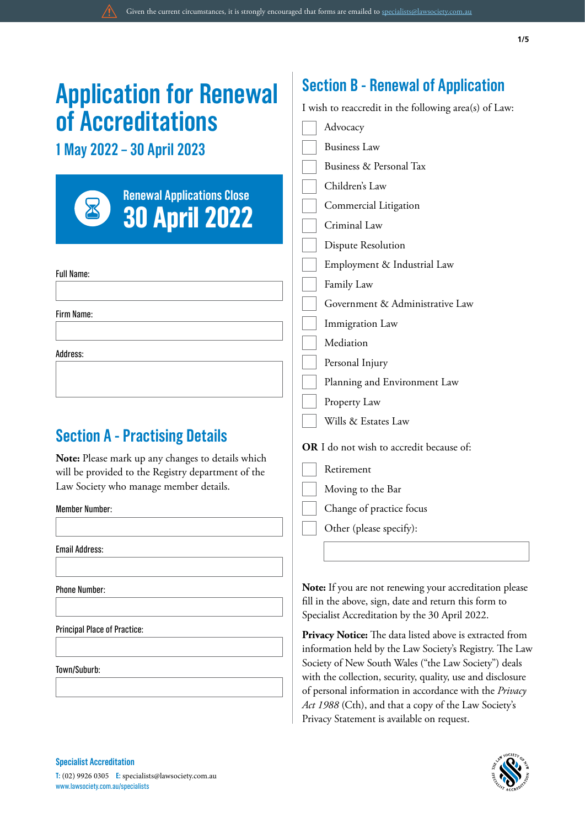|                                                                                                                                                  | 1/5                                                                                                                                                                                                                                                                                                                                                                                                                   |  |  |  |
|--------------------------------------------------------------------------------------------------------------------------------------------------|-----------------------------------------------------------------------------------------------------------------------------------------------------------------------------------------------------------------------------------------------------------------------------------------------------------------------------------------------------------------------------------------------------------------------|--|--|--|
| <b>Application for Renewal</b><br>of Accreditations<br>1 May 2022 - 30 April 2023                                                                | <b>Section B - Renewal of Application</b><br>I wish to reaccredit in the following area(s) of Law:<br>Advocacy<br><b>Business Law</b>                                                                                                                                                                                                                                                                                 |  |  |  |
| <b>Renewal Applications Close</b><br>${\bf \Sigma}$<br><b>30 April 2022</b>                                                                      | Business & Personal Tax<br>Children's Law<br>Commercial Litigation<br>Criminal Law                                                                                                                                                                                                                                                                                                                                    |  |  |  |
| <b>Full Name:</b><br>Firm Name:<br>Address:                                                                                                      | <b>Dispute Resolution</b><br>Employment & Industrial Law<br>Family Law<br>Government & Administrative Law<br>Immigration Law<br>Mediation<br>Personal Injury                                                                                                                                                                                                                                                          |  |  |  |
| <b>Section A - Practising Details</b><br>Note: Please mark up any changes to details which<br>will be provided to the Registry department of the | Planning and Environment Law<br>Property Law<br>Wills & Estates Law<br><b>OR</b> I do not wish to accredit because of:<br>Retirement                                                                                                                                                                                                                                                                                  |  |  |  |
| Law Society who manage member details.<br><b>Member Number:</b><br><b>Email Address:</b>                                                         | Moving to the Bar<br>Change of practice focus<br>Other (please specify):                                                                                                                                                                                                                                                                                                                                              |  |  |  |
| <b>Phone Number:</b><br>Principal Place of Practice:<br>Town/Suburb:                                                                             | <b>Note:</b> If you are not renewing your accreditation please<br>fill in the above, sign, date and return this form to<br>Specialist Accreditation by the 30 April 2022.<br>Privacy Notice: The data listed above is extracted from<br>information held by the Law Society's Registry. The Law<br>Society of New South Wales ("the Law Society") deals<br>with the collection, security, quality, use and disclosure |  |  |  |
|                                                                                                                                                  | of personal information in accordance with the Privacy<br>Act 1988 (Cth), and that a copy of the Law Society's                                                                                                                                                                                                                                                                                                        |  |  |  |

Given the current circumstances, it is strongly encouraged that forms are emailed to [specialists@lawsociety.com.au](mailto:specialists%40lawsociety.com.au?subject=Application%20for%20Renewal%20of%20Accreditation%202016/17)



Privacy Statement is available on request.

**Specialist Accreditation**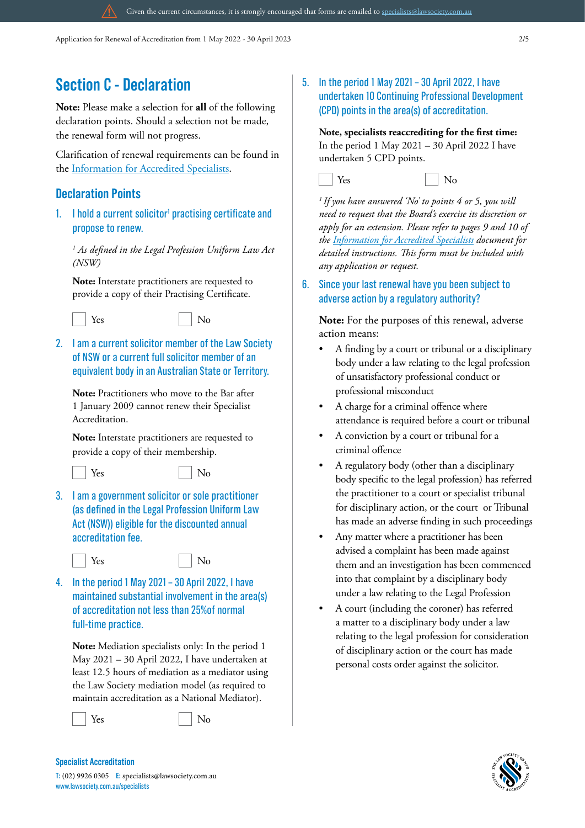## **Section C - Declaration**

**Note:** Please make a selection for **all** of the following declaration points. Should a selection not be made, the renewal form will not progress.

Clarification of renewal requirements can be found in the [Information for Accredited Specialists](https://www.lawsociety.com.au/sa_info_guide).

## **Declaration Points**

1. I hold a current solicitor<sup>1</sup> practising certificate and propose to renew.

*1 As defined in the Legal Profession Uniform Law Act (NSW)*

**Note:** Interstate practitioners are requested to provide a copy of their Practising Certificate.



2. I am a current solicitor member of the Law Society of NSW or a current full solicitor member of an equivalent body in an Australian State or Territory.

**Note:** Practitioners who move to the Bar after 1 January 2009 cannot renew their Specialist Accreditation.

**Note:** Interstate practitioners are requested to provide a copy of their membership.



Yes No

3. I am a government solicitor or sole practitioner (as defined in the Legal Profession Uniform Law Act (NSW)) eligible for the discounted annual accreditation fee.

Yes No

4. In the period 1 May 2021 – 30 April 2022, I have maintained substantial involvement in the area(s) of accreditation not less than 25%of normal full-time practice.

**Note:** Mediation specialists only: In the period 1 May 2021 – 30 April 2022, I have undertaken at least 12.5 hours of mediation as a mediator using the Law Society mediation model (as required to maintain accreditation as a National Mediator).



**Specialist Accreditation**



5. In the period 1 May 2021 – 30 April 2022, I have undertaken 10 Continuing Professional Development (CPD) points in the area(s) of accreditation.

# **Note, specialists reaccrediting for the first time:**

In the period 1 May 2021 – 30 April 2022 I have undertaken 5 CPD points.



Given the current circumstances, it is strongly encouraged that forms are emailed to [specialists@lawsociety.com.au](mailto:specialists%40lawsociety.com.au?subject=Application%20for%20Renewal%20of%20Accreditation%202016/17)



*<sup>1</sup> If you have answered 'No' to points 4 or 5, you will need to request that the Board's exercise its discretion or apply for an extension. Please refer to pages 9 and 10 of the [Information for Accredited Specialists](https://www.lawsociety.com.au/sa_info_guide) document for detailed instructions. This form must be included with any application or request.*

6. Since your last renewal have you been subject to adverse action by a regulatory authority?

**Note:** For the purposes of this renewal, adverse action means:

- A finding by a court or tribunal or a disciplinary body under a law relating to the legal profession of unsatisfactory professional conduct or professional misconduct
- A charge for a criminal offence where attendance is required before a court or tribunal
- A conviction by a court or tribunal for a criminal offence
- A regulatory body (other than a disciplinary body specific to the legal profession) has referred the practitioner to a court or specialist tribunal for disciplinary action, or the court or Tribunal has made an adverse finding in such proceedings
- Any matter where a practitioner has been advised a complaint has been made against them and an investigation has been commenced into that complaint by a disciplinary body under a law relating to the Legal Profession
- A court (including the coroner) has referred a matter to a disciplinary body under a law relating to the legal profession for consideration of disciplinary action or the court has made personal costs order against the solicitor.

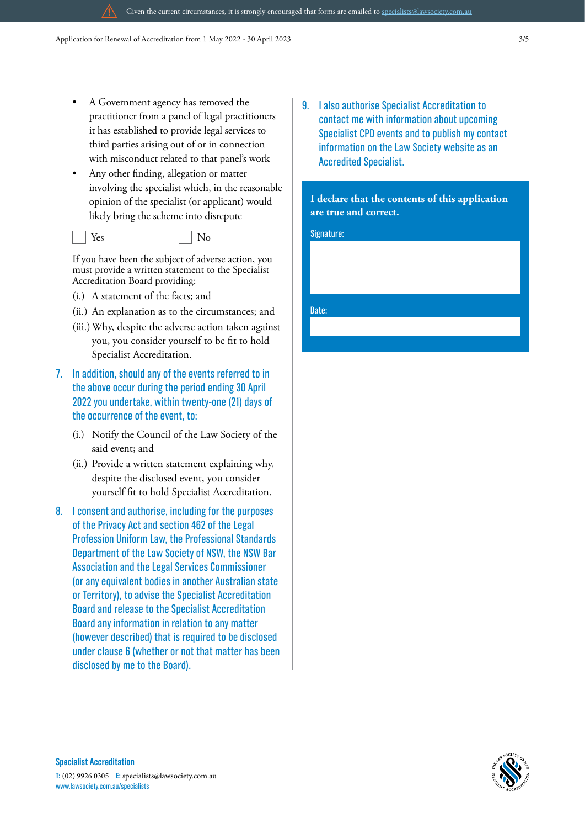- A Government agency has removed the practitioner from a panel of legal practitioners it has established to provide legal services to third parties arising out of or in connection with misconduct related to that panel's work
- Any other finding, allegation or matter involving the specialist which, in the reasonable opinion of the specialist (or applicant) would likely bring the scheme into disrepute
	- Yes No

If you have been the subject of adverse action, you must provide a written statement to the Specialist Accreditation Board providing:

- (i.) A statement of the facts; and
- (ii.) An explanation as to the circumstances; and
- (iii.)Why, despite the adverse action taken against you, you consider yourself to be fit to hold Specialist Accreditation.
- 7. In addition, should any of the events referred to in the above occur during the period ending 30 April 2022 you undertake, within twenty-one (21) days of the occurrence of the event, to:
	- (i.) Notify the Council of the Law Society of the said event; and
	- (ii.) Provide a written statement explaining why, despite the disclosed event, you consider yourself fit to hold Specialist Accreditation.
- 8. I consent and authorise, including for the purposes of the Privacy Act and section 462 of the Legal Profession Uniform Law, the Professional Standards Department of the Law Society of NSW, the NSW Bar Association and the Legal Services Commissioner (or any equivalent bodies in another Australian state or Territory), to advise the Specialist Accreditation Board and release to the Specialist Accreditation Board any information in relation to any matter (however described) that is required to be disclosed under clause 6 (whether or not that matter has been disclosed by me to the Board).

9. I also authorise Specialist Accreditation to contact me with information about upcoming Specialist CPD events and to publish my contact information on the Law Society website as an Accredited Specialist.

**I declare that the contents of this application are true and correct.**

Signature:

Given the current circumstances, it is strongly encouraged that forms are emailed to [specialists@lawsociety.com.au](mailto:specialists%40lawsociety.com.au?subject=Application%20for%20Renewal%20of%20Accreditation%202016/17)

Date: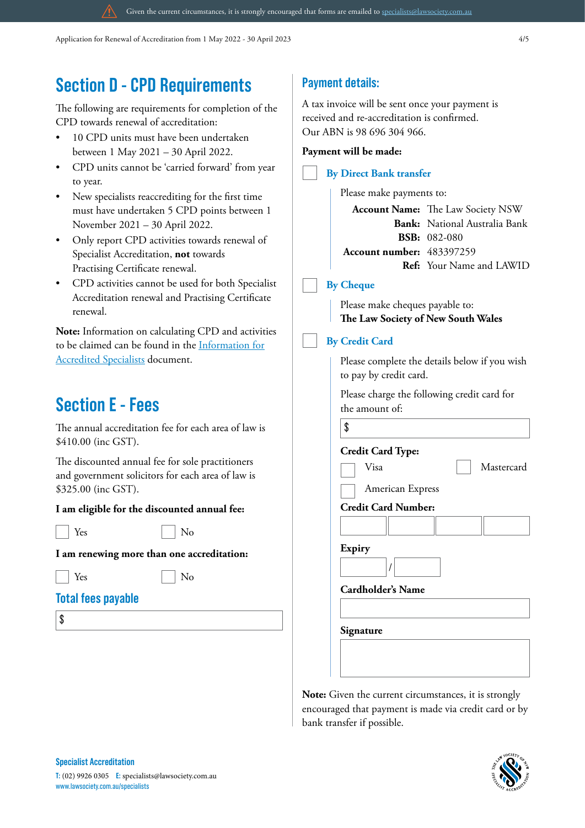# **Section D - CPD Requirements**

The following are requirements for completion of the CPD towards renewal of accreditation:

- 10 CPD units must have been undertaken between 1 May 2021 – 30 April 2022.
- CPD units cannot be 'carried forward' from year to year.
- New specialists reaccrediting for the first time must have undertaken 5 CPD points between 1 November 2021 – 30 April 2022.
- Only report CPD activities towards renewal of Specialist Accreditation, **not** towards Practising Certificate renewal.
- CPD activities cannot be used for both Specialist Accreditation renewal and Practising Certificate renewal.

**Note:** Information on calculating CPD and activities to be claimed can be found in the [Information for](https://www.lawsociety.com.au/sa_info_guide) [Accredited Specialists](https://www.lawsociety.com.au/sa_info_guide) document.

# **Section E - Fees**

The annual accreditation fee for each area of law is \$410.00 (inc GST).

The discounted annual fee for sole practitioners and government solicitors for each area of law is \$325.00 (inc GST).

**I am eligible for the discounted annual fee:**

Yes No

**I am renewing more than one accreditation:**

Yes No

#### **Total fees payable**

\$

## **Payment details:**

Given the current circumstances, it is strongly encouraged that forms are emailed to [specialists@lawsociety.com.au](mailto:specialists%40lawsociety.com.au?subject=Application%20for%20Renewal%20of%20Accreditation%202016/17)

A tax invoice will be sent once your payment is received and re-accreditation is confirmed. Our ABN is 98 696 304 966.

| Payment will be made:                                                                                                                                                   |  |  |  |  |  |
|-------------------------------------------------------------------------------------------------------------------------------------------------------------------------|--|--|--|--|--|
| <b>By Direct Bank transfer</b>                                                                                                                                          |  |  |  |  |  |
| Please make payments to:                                                                                                                                                |  |  |  |  |  |
| <b>Account Name:</b> The Law Society NSW<br><b>Bank:</b> National Australia Bank<br><b>BSB:</b> 082-080<br><b>Account number: 483397259</b><br>Ref: Your Name and LAWID |  |  |  |  |  |
| <b>By Cheque</b>                                                                                                                                                        |  |  |  |  |  |
| Please make cheques payable to:<br>The Law Society of New South Wales                                                                                                   |  |  |  |  |  |
| <b>By Credit Card</b>                                                                                                                                                   |  |  |  |  |  |
| Please complete the details below if you wish<br>to pay by credit card.                                                                                                 |  |  |  |  |  |
| Please charge the following credit card for<br>the amount of:<br>\$                                                                                                     |  |  |  |  |  |
|                                                                                                                                                                         |  |  |  |  |  |
| <b>Credit Card Type:</b><br>Visa<br>Mastercard<br>American Express                                                                                                      |  |  |  |  |  |
| <b>Credit Card Number:</b>                                                                                                                                              |  |  |  |  |  |
|                                                                                                                                                                         |  |  |  |  |  |
| <b>Expiry</b><br><b>Cardholder's Name</b>                                                                                                                               |  |  |  |  |  |
|                                                                                                                                                                         |  |  |  |  |  |
| Signature                                                                                                                                                               |  |  |  |  |  |
|                                                                                                                                                                         |  |  |  |  |  |

**Note:** Given the current circumstances, it is strongly encouraged that payment is made via credit card or by bank transfer if possible.